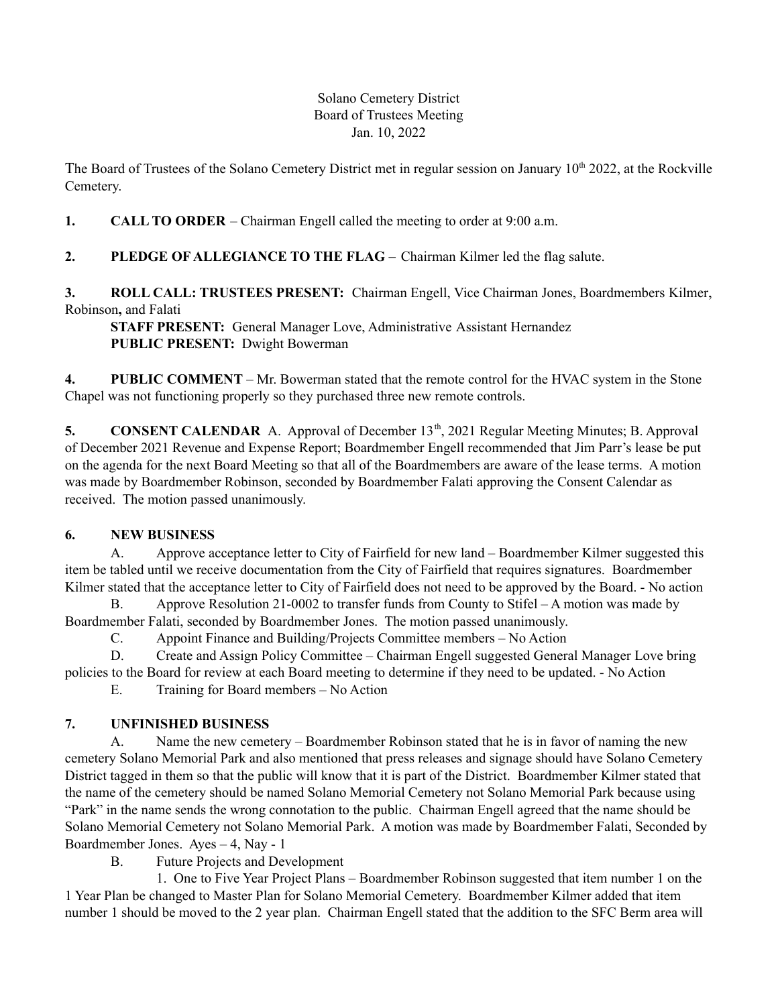#### Solano Cemetery District Board of Trustees Meeting Jan. 10, 2022

The Board of Trustees of the Solano Cemetery District met in regular session on January 10<sup>th</sup> 2022, at the Rockville Cemetery.

**1. CALL TO ORDER** – Chairman Engell called the meeting to order at 9:00 a.m.

# **2. PLEDGE OF ALLEGIANCE TO THE FLAG –** Chairman Kilmer led the flag salute.

**3. ROLL CALL: TRUSTEES PRESENT:** Chairman Engell, Vice Chairman Jones, Boardmembers Kilmer, Robinson**,** and Falati

**STAFF PRESENT:** General Manager Love, Administrative Assistant Hernandez **PUBLIC PRESENT:** Dwight Bowerman

**4. PUBLIC COMMENT** – Mr. Bowerman stated that the remote control for the HVAC system in the Stone Chapel was not functioning properly so they purchased three new remote controls.

5. **CONSENT CALENDAR** A. Approval of December 13<sup>th</sup>, 2021 Regular Meeting Minutes; B. Approval of December 2021 Revenue and Expense Report; Boardmember Engell recommended that Jim Parr's lease be put on the agenda for the next Board Meeting so that all of the Boardmembers are aware of the lease terms. A motion was made by Boardmember Robinson, seconded by Boardmember Falati approving the Consent Calendar as received. The motion passed unanimously.

### **6. NEW BUSINESS**

A. Approve acceptance letter to City of Fairfield for new land – Boardmember Kilmer suggested this item be tabled until we receive documentation from the City of Fairfield that requires signatures. Boardmember Kilmer stated that the acceptance letter to City of Fairfield does not need to be approved by the Board. - No action

B. Approve Resolution 21-0002 to transfer funds from County to Stifel – A motion was made by Boardmember Falati, seconded by Boardmember Jones. The motion passed unanimously.

C. Appoint Finance and Building/Projects Committee members – No Action

D. Create and Assign Policy Committee – Chairman Engell suggested General Manager Love bring policies to the Board for review at each Board meeting to determine if they need to be updated. - No Action

E. Training for Board members – No Action

# **7. UNFINISHED BUSINESS**

A. Name the new cemetery – Boardmember Robinson stated that he is in favor of naming the new cemetery Solano Memorial Park and also mentioned that press releases and signage should have Solano Cemetery District tagged in them so that the public will know that it is part of the District. Boardmember Kilmer stated that the name of the cemetery should be named Solano Memorial Cemetery not Solano Memorial Park because using "Park" in the name sends the wrong connotation to the public. Chairman Engell agreed that the name should be Solano Memorial Cemetery not Solano Memorial Park. A motion was made by Boardmember Falati, Seconded by Boardmember Jones. Ayes – 4, Nay - 1

B. Future Projects and Development

1. One to Five Year Project Plans – Boardmember Robinson suggested that item number 1 on the 1 Year Plan be changed to Master Plan for Solano Memorial Cemetery. Boardmember Kilmer added that item number 1 should be moved to the 2 year plan. Chairman Engell stated that the addition to the SFC Berm area will